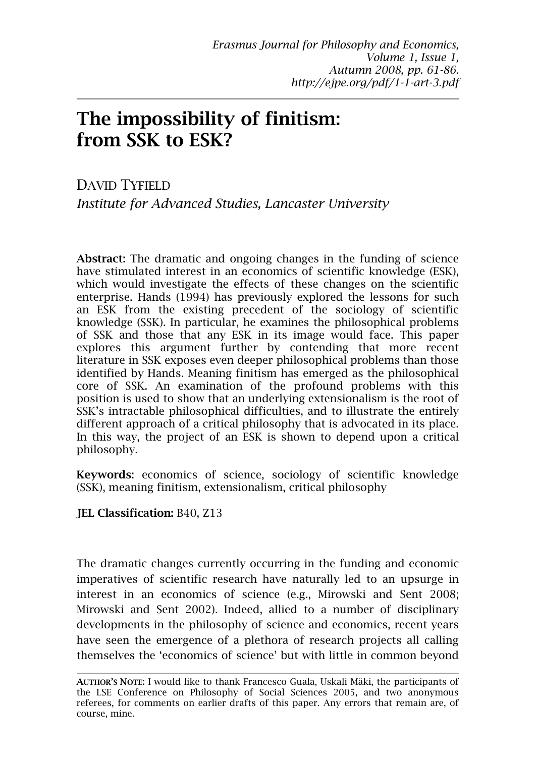# **The impossibility of finitism: from SSK to ESK?**

DAVID TYFIELD *Institute for Advanced Studies, Lancaster University* 

**Abstract:** The dramatic and ongoing changes in the funding of science have stimulated interest in an economics of scientific knowledge (ESK), which would investigate the effects of these changes on the scientific enterprise. Hands (1994) has previously explored the lessons for such an ESK from the existing precedent of the sociology of scientific knowledge (SSK). In particular, he examines the philosophical problems of SSK and those that any ESK in its image would face. This paper explores this argument further by contending that more recent literature in SSK exposes even deeper philosophical problems than those identified by Hands. Meaning finitism has emerged as the philosophical core of SSK. An examination of the profound problems with this position is used to show that an underlying extensionalism is the root of SSK's intractable philosophical difficulties, and to illustrate the entirely different approach of a critical philosophy that is advocated in its place. In this way, the project of an ESK is shown to depend upon a critical philosophy.

**Keywords:** economics of science, sociology of scientific knowledge (SSK), meaning finitism, extensionalism, critical philosophy

**JEL Classification:** B40, Z13

The dramatic changes currently occurring in the funding and economic imperatives of scientific research have naturally led to an upsurge in interest in an economics of science (e.g., Mirowski and Sent 2008; Mirowski and Sent 2002). Indeed, allied to a number of disciplinary developments in the philosophy of science and economics, recent years have seen the emergence of a plethora of research projects all calling themselves the 'economics of science' but with little in common beyond

**AUTHOR'S NOTE:** I would like to thank Francesco Guala, Uskali Mäki, the participants of the LSE Conference on Philosophy of Social Sciences 2005, and two anonymous referees, for comments on earlier drafts of this paper. Any errors that remain are, of course, mine.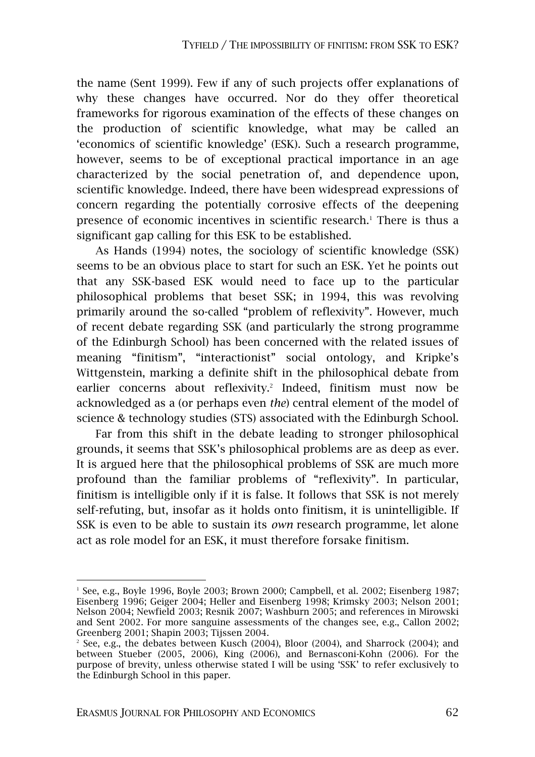the name (Sent 1999). Few if any of such projects offer explanations of why these changes have occurred. Nor do they offer theoretical frameworks for rigorous examination of the effects of these changes on the production of scientific knowledge, what may be called an 'economics of scientific knowledge' (ESK). Such a research programme, however, seems to be of exceptional practical importance in an age characterized by the social penetration of, and dependence upon, scientific knowledge. Indeed, there have been widespread expressions of concern regarding the potentially corrosive effects of the deepening presence of economic incentives in scientific research.<sup>1</sup> There is thus a significant gap calling for this ESK to be established.

As Hands (1994) notes, the sociology of scientific knowledge (SSK) seems to be an obvious place to start for such an ESK. Yet he points out that any SSK-based ESK would need to face up to the particular philosophical problems that beset SSK; in 1994, this was revolving primarily around the so-called "problem of reflexivity". However, much of recent debate regarding SSK (and particularly the strong programme of the Edinburgh School) has been concerned with the related issues of meaning "finitism", "interactionist" social ontology, and Kripke's Wittgenstein, marking a definite shift in the philosophical debate from earlier concerns about reflexivity.<sup>2</sup> Indeed, finitism must now be acknowledged as a (or perhaps even *the*) central element of the model of science & technology studies (STS) associated with the Edinburgh School.

Far from this shift in the debate leading to stronger philosophical grounds, it seems that SSK's philosophical problems are as deep as ever. It is argued here that the philosophical problems of SSK are much more profound than the familiar problems of "reflexivity". In particular, finitism is intelligible only if it is false. It follows that SSK is not merely self-refuting, but, insofar as it holds onto finitism, it is unintelligible. If SSK is even to be able to sustain its *own* research programme, let alone act as role model for an ESK, it must therefore forsake finitism.

 $\overline{a}$ 1 See, e.g., Boyle 1996, Boyle 2003; Brown 2000; Campbell, et al. 2002; Eisenberg 1987; Eisenberg 1996; Geiger 2004; Heller and Eisenberg 1998; Krimsky 2003; Nelson 2001; Nelson 2004; Newfield 2003; Resnik 2007; Washburn 2005; and references in Mirowski and Sent 2002. For more sanguine assessments of the changes see, e.g., Callon 2002; Greenberg 2001; Shapin 2003; Tijssen 2004.

<sup>2</sup> See, e.g., the debates between Kusch (2004), Bloor (2004), and Sharrock (2004); and between Stueber (2005, 2006), King (2006), and Bernasconi-Kohn (2006). For the purpose of brevity, unless otherwise stated I will be using 'SSK' to refer exclusively to the Edinburgh School in this paper.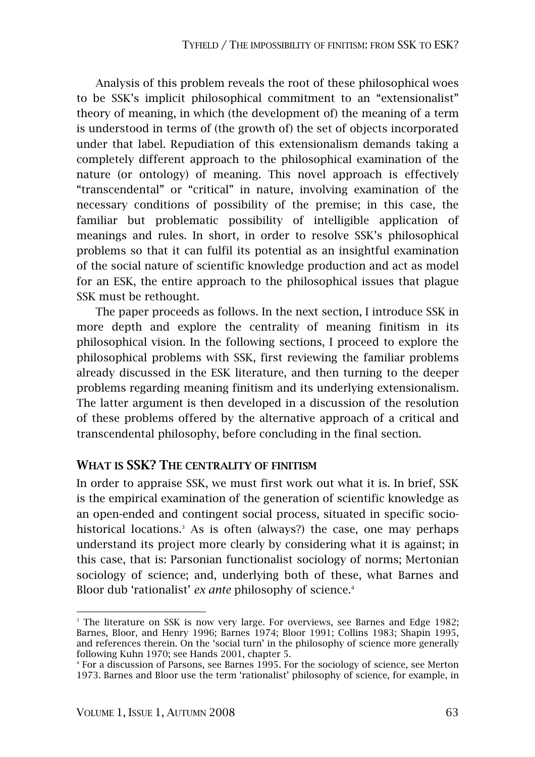Analysis of this problem reveals the root of these philosophical woes to be SSK's implicit philosophical commitment to an "extensionalist" theory of meaning, in which (the development of) the meaning of a term is understood in terms of (the growth of) the set of objects incorporated under that label. Repudiation of this extensionalism demands taking a completely different approach to the philosophical examination of the nature (or ontology) of meaning. This novel approach is effectively "transcendental" or "critical" in nature, involving examination of the necessary conditions of possibility of the premise; in this case, the familiar but problematic possibility of intelligible application of meanings and rules. In short, in order to resolve SSK's philosophical problems so that it can fulfil its potential as an insightful examination of the social nature of scientific knowledge production and act as model for an ESK, the entire approach to the philosophical issues that plague SSK must be rethought.

The paper proceeds as follows. In the next section, I introduce SSK in more depth and explore the centrality of meaning finitism in its philosophical vision. In the following sections, I proceed to explore the philosophical problems with SSK, first reviewing the familiar problems already discussed in the ESK literature, and then turning to the deeper problems regarding meaning finitism and its underlying extensionalism. The latter argument is then developed in a discussion of the resolution of these problems offered by the alternative approach of a critical and transcendental philosophy, before concluding in the final section.

## **WHAT IS SSK? THE CENTRALITY OF FINITISM**

In order to appraise SSK, we must first work out what it is. In brief, SSK is the empirical examination of the generation of scientific knowledge as an open-ended and contingent social process, situated in specific sociohistorical locations.<sup>3</sup> As is often (always?) the case, one may perhaps understand its project more clearly by considering what it is against; in this case, that is: Parsonian functionalist sociology of norms; Mertonian sociology of science; and, underlying both of these, what Barnes and Bloor dub 'rationalist' *ex ante* philosophy of science.<sup>4</sup>

<sup>3</sup> The literature on SSK is now very large. For overviews, see Barnes and Edge 1982; Barnes, Bloor, and Henry 1996; Barnes 1974; Bloor 1991; Collins 1983; Shapin 1995, and references therein. On the 'social turn' in the philosophy of science more generally following Kuhn 1970; see Hands 2001, chapter 5.

<sup>4</sup> For a discussion of Parsons, see Barnes 1995. For the sociology of science, see Merton 1973. Barnes and Bloor use the term 'rationalist' philosophy of science, for example, in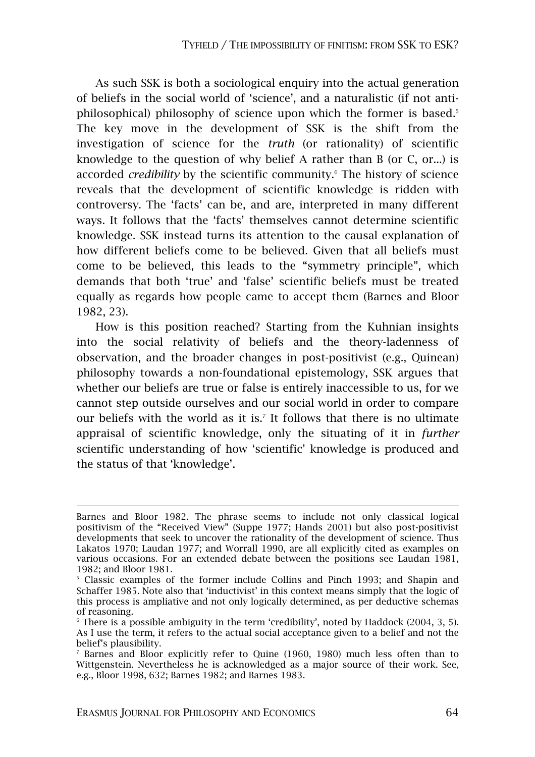As such SSK is both a sociological enquiry into the actual generation of beliefs in the social world of 'science', and a naturalistic (if not antiphilosophical) philosophy of science upon which the former is based.<sup>5</sup> The key move in the development of SSK is the shift from the investigation of science for the *truth* (or rationality) of scientific knowledge to the question of why belief A rather than B (or C, or...) is accorded *credibility* by the scientific community.<sup>6</sup> The history of science reveals that the development of scientific knowledge is ridden with controversy. The 'facts' can be, and are, interpreted in many different ways. It follows that the 'facts' themselves cannot determine scientific knowledge. SSK instead turns its attention to the causal explanation of how different beliefs come to be believed. Given that all beliefs must come to be believed, this leads to the "symmetry principle", which demands that both 'true' and 'false' scientific beliefs must be treated equally as regards how people came to accept them (Barnes and Bloor 1982, 23).

How is this position reached? Starting from the Kuhnian insights into the social relativity of beliefs and the theory-ladenness of observation, and the broader changes in post-positivist (e.g., Quinean) philosophy towards a non-foundational epistemology, SSK argues that whether our beliefs are true or false is entirely inaccessible to us, for we cannot step outside ourselves and our social world in order to compare our beliefs with the world as it is.<sup>7</sup> It follows that there is no ultimate appraisal of scientific knowledge, only the situating of it in *further* scientific understanding of how 'scientific' knowledge is produced and the status of that 'knowledge'.

<sup>&</sup>lt;u>.</u> Barnes and Bloor 1982. The phrase seems to include not only classical logical positivism of the "Received View" (Suppe 1977; Hands 2001) but also post-positivist developments that seek to uncover the rationality of the development of science. Thus Lakatos 1970; Laudan 1977; and Worrall 1990, are all explicitly cited as examples on various occasions. For an extended debate between the positions see Laudan 1981, 1982; and Bloor 1981.

<sup>5</sup> Classic examples of the former include Collins and Pinch 1993; and Shapin and Schaffer 1985. Note also that 'inductivist' in this context means simply that the logic of this process is ampliative and not only logically determined, as per deductive schemas of reasoning.

<sup>6</sup> There is a possible ambiguity in the term 'credibility', noted by Haddock (2004, 3, 5). As I use the term, it refers to the actual social acceptance given to a belief and not the belief's plausibility.

<sup>7</sup> Barnes and Bloor explicitly refer to Quine (1960, 1980) much less often than to Wittgenstein. Nevertheless he is acknowledged as a major source of their work. See, e.g., Bloor 1998, 632; Barnes 1982; and Barnes 1983.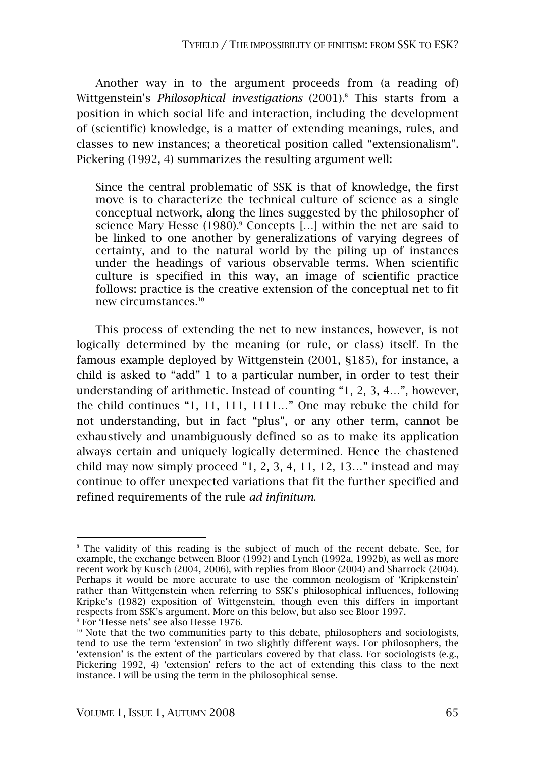Another way in to the argument proceeds from (a reading of) Wittgenstein's *Philosophical investigations* (2001).<sup>8</sup> This starts from a position in which social life and interaction, including the development of (scientific) knowledge, is a matter of extending meanings, rules, and classes to new instances; a theoretical position called "extensionalism". Pickering (1992, 4) summarizes the resulting argument well:

Since the central problematic of SSK is that of knowledge, the first move is to characterize the technical culture of science as a single conceptual network, along the lines suggested by the philosopher of science Mary Hesse (1980).<sup>9</sup> Concepts [...] within the net are said to be linked to one another by generalizations of varying degrees of certainty, and to the natural world by the piling up of instances under the headings of various observable terms. When scientific culture is specified in this way, an image of scientific practice follows: practice is the creative extension of the conceptual net to fit new circumstances.<sup>10</sup>

This process of extending the net to new instances, however, is not logically determined by the meaning (or rule, or class) itself. In the famous example deployed by Wittgenstein (2001, §185), for instance, a child is asked to "add" 1 to a particular number, in order to test their understanding of arithmetic. Instead of counting "1, 2, 3, 4…", however, the child continues "1, 11, 111, 1111…" One may rebuke the child for not understanding, but in fact "plus", or any other term, cannot be exhaustively and unambiguously defined so as to make its application always certain and uniquely logically determined. Hence the chastened child may now simply proceed "1, 2, 3, 4, 11, 12,  $13...$ " instead and may continue to offer unexpected variations that fit the further specified and refined requirements of the rule *ad infinitum*.

 $\overline{a}$ 8 The validity of this reading is the subject of much of the recent debate. See, for example, the exchange between Bloor (1992) and Lynch (1992a, 1992b), as well as more recent work by Kusch (2004, 2006), with replies from Bloor (2004) and Sharrock (2004). Perhaps it would be more accurate to use the common neologism of 'Kripkenstein' rather than Wittgenstein when referring to SSK's philosophical influences, following Kripke's (1982) exposition of Wittgenstein, though even this differs in important respects from SSK's argument. More on this below, but also see Bloor 1997.

<sup>9</sup> For 'Hesse nets' see also Hesse 1976.

 $10$  Note that the two communities party to this debate, philosophers and sociologists, tend to use the term 'extension' in two slightly different ways. For philosophers, the 'extension' is the extent of the particulars covered by that class. For sociologists (e.g., Pickering 1992, 4) 'extension' refers to the act of extending this class to the next instance. I will be using the term in the philosophical sense.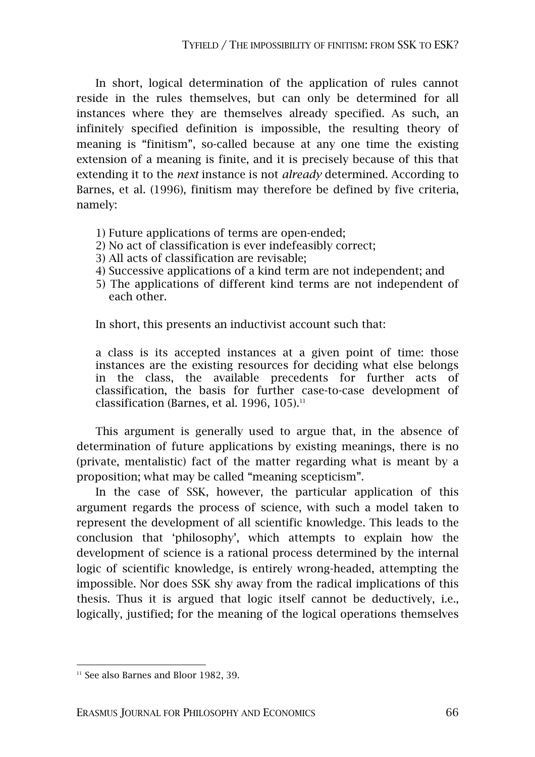In short, logical determination of the application of rules cannot reside in the rules themselves, but can only be determined for all instances where they are themselves already specified. As such, an infinitely specified definition is impossible, the resulting theory of meaning is "finitism", so-called because at any one time the existing extension of a meaning is finite, and it is precisely because of this that extending it to the *next* instance is not *already* determined. According to Barnes, et al. (1996), finitism may therefore be defined by five criteria, namely:

- 1) Future applications of terms are open-ended;
- 2) No act of classification is ever indefeasibly correct;
- 3) All acts of classification are revisable;
- 4) Successive applications of a kind term are not independent; and
- 5) The applications of different kind terms are not independent of each other.

In short, this presents an inductivist account such that:

a class is its accepted instances at a given point of time: those instances are the existing resources for deciding what else belongs in the class, the available precedents for further acts of classification, the basis for further case-to-case development of classification (Barnes, et al. 1996, 105). $11$ 

This argument is generally used to argue that, in the absence of determination of future applications by existing meanings, there is no (private, mentalistic) fact of the matter regarding what is meant by a proposition; what may be called "meaning scepticism".

In the case of SSK, however, the particular application of this argument regards the process of science, with such a model taken to represent the development of all scientific knowledge. This leads to the conclusion that 'philosophy', which attempts to explain how the development of science is a rational process determined by the internal logic of scientific knowledge, is entirely wrong-headed, attempting the impossible. Nor does SSK shy away from the radical implications of this thesis. Thus it is argued that logic itself cannot be deductively, i.e., logically, justified; for the meaning of the logical operations themselves

 $\overline{a}$  $11$  See also Barnes and Bloor 1982, 39.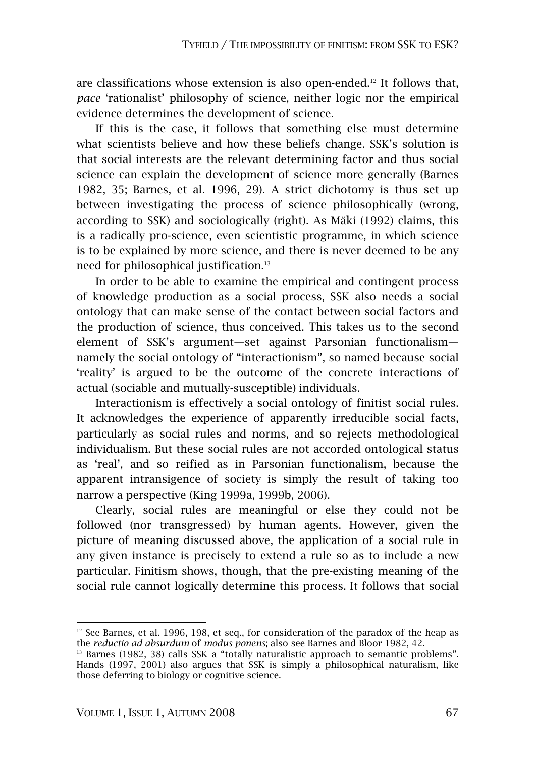are classifications whose extension is also open-ended.12 It follows that, *pace* 'rationalist' philosophy of science, neither logic nor the empirical evidence determines the development of science.

If this is the case, it follows that something else must determine what scientists believe and how these beliefs change. SSK's solution is that social interests are the relevant determining factor and thus social science can explain the development of science more generally (Barnes 1982, 35; Barnes, et al. 1996, 29). A strict dichotomy is thus set up between investigating the process of science philosophically (wrong, according to SSK) and sociologically (right). As Mäki (1992) claims, this is a radically pro-science, even scientistic programme, in which science is to be explained by more science, and there is never deemed to be any need for philosophical justification.<sup>13</sup>

In order to be able to examine the empirical and contingent process of knowledge production as a social process, SSK also needs a social ontology that can make sense of the contact between social factors and the production of science, thus conceived. This takes us to the second element of SSK's argument—set against Parsonian functionalism namely the social ontology of "interactionism", so named because social 'reality' is argued to be the outcome of the concrete interactions of actual (sociable and mutually-susceptible) individuals.

Interactionism is effectively a social ontology of finitist social rules. It acknowledges the experience of apparently irreducible social facts, particularly as social rules and norms, and so rejects methodological individualism. But these social rules are not accorded ontological status as 'real', and so reified as in Parsonian functionalism, because the apparent intransigence of society is simply the result of taking too narrow a perspective (King 1999a, 1999b, 2006).

Clearly, social rules are meaningful or else they could not be followed (nor transgressed) by human agents. However, given the picture of meaning discussed above, the application of a social rule in any given instance is precisely to extend a rule so as to include a new particular. Finitism shows, though, that the pre-existing meaning of the social rule cannot logically determine this process. It follows that social

 $12$  See Barnes, et al. 1996, 198, et seq., for consideration of the paradox of the heap as the *reductio ad absurdum* of *modus ponens*; also see Barnes and Bloor 1982, 42.

 $13$  Barnes (1982, 38) calls SSK a "totally naturalistic approach to semantic problems". Hands (1997, 2001) also argues that SSK is simply a philosophical naturalism, like those deferring to biology or cognitive science.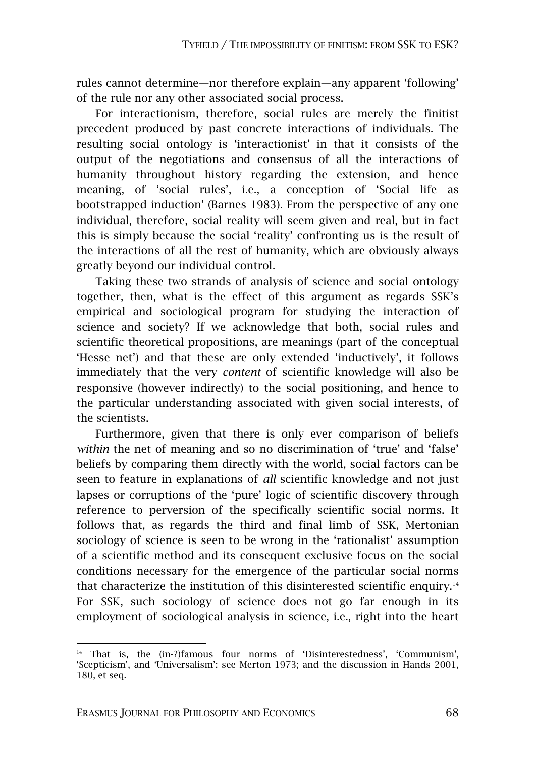rules cannot determine—nor therefore explain—any apparent 'following' of the rule nor any other associated social process.

For interactionism, therefore, social rules are merely the finitist precedent produced by past concrete interactions of individuals. The resulting social ontology is 'interactionist' in that it consists of the output of the negotiations and consensus of all the interactions of humanity throughout history regarding the extension, and hence meaning, of 'social rules', i.e., a conception of 'Social life as bootstrapped induction' (Barnes 1983). From the perspective of any one individual, therefore, social reality will seem given and real, but in fact this is simply because the social 'reality' confronting us is the result of the interactions of all the rest of humanity, which are obviously always greatly beyond our individual control.

Taking these two strands of analysis of science and social ontology together, then, what is the effect of this argument as regards SSK's empirical and sociological program for studying the interaction of science and society? If we acknowledge that both, social rules and scientific theoretical propositions, are meanings (part of the conceptual 'Hesse net') and that these are only extended 'inductively', it follows immediately that the very *content* of scientific knowledge will also be responsive (however indirectly) to the social positioning, and hence to the particular understanding associated with given social interests, of the scientists.

Furthermore, given that there is only ever comparison of beliefs *within* the net of meaning and so no discrimination of 'true' and 'false' beliefs by comparing them directly with the world, social factors can be seen to feature in explanations of *all* scientific knowledge and not just lapses or corruptions of the 'pure' logic of scientific discovery through reference to perversion of the specifically scientific social norms. It follows that, as regards the third and final limb of SSK, Mertonian sociology of science is seen to be wrong in the 'rationalist' assumption of a scientific method and its consequent exclusive focus on the social conditions necessary for the emergence of the particular social norms that characterize the institution of this disinterested scientific enquiry.<sup>14</sup> For SSK, such sociology of science does not go far enough in its employment of sociological analysis in science, i.e., right into the heart

<sup>&</sup>lt;sup>14</sup> That is, the (in-?)famous four norms of 'Disinterestedness', 'Communism', 'Scepticism', and 'Universalism': see Merton 1973; and the discussion in Hands 2001, 180, et seq.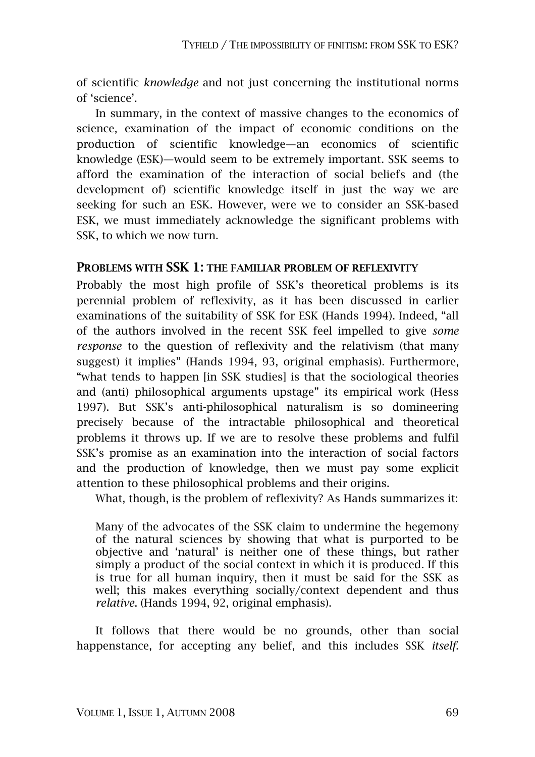of scientific *knowledge* and not just concerning the institutional norms of 'science'.

In summary, in the context of massive changes to the economics of science, examination of the impact of economic conditions on the production of scientific knowledge—an economics of scientific knowledge (ESK)—would seem to be extremely important. SSK seems to afford the examination of the interaction of social beliefs and (the development of) scientific knowledge itself in just the way we are seeking for such an ESK. However, were we to consider an SSK-based ESK, we must immediately acknowledge the significant problems with SSK, to which we now turn.

# **PROBLEMS WITH SSK 1: THE FAMILIAR PROBLEM OF REFLEXIVITY**

Probably the most high profile of SSK's theoretical problems is its perennial problem of reflexivity, as it has been discussed in earlier examinations of the suitability of SSK for ESK (Hands 1994). Indeed, "all of the authors involved in the recent SSK feel impelled to give *some response* to the question of reflexivity and the relativism (that many suggest) it implies" (Hands 1994, 93, original emphasis). Furthermore, "what tends to happen [in SSK studies] is that the sociological theories and (anti) philosophical arguments upstage" its empirical work (Hess 1997). But SSK's anti-philosophical naturalism is so domineering precisely because of the intractable philosophical and theoretical problems it throws up. If we are to resolve these problems and fulfil SSK's promise as an examination into the interaction of social factors and the production of knowledge, then we must pay some explicit attention to these philosophical problems and their origins.

What, though, is the problem of reflexivity? As Hands summarizes it:

Many of the advocates of the SSK claim to undermine the hegemony of the natural sciences by showing that what is purported to be objective and 'natural' is neither one of these things, but rather simply a product of the social context in which it is produced. If this is true for all human inquiry, then it must be said for the SSK as well; this makes everything socially/context dependent and thus *relative*. (Hands 1994, 92, original emphasis).

It follows that there would be no grounds, other than social happenstance, for accepting any belief, and this includes SSK *itself*.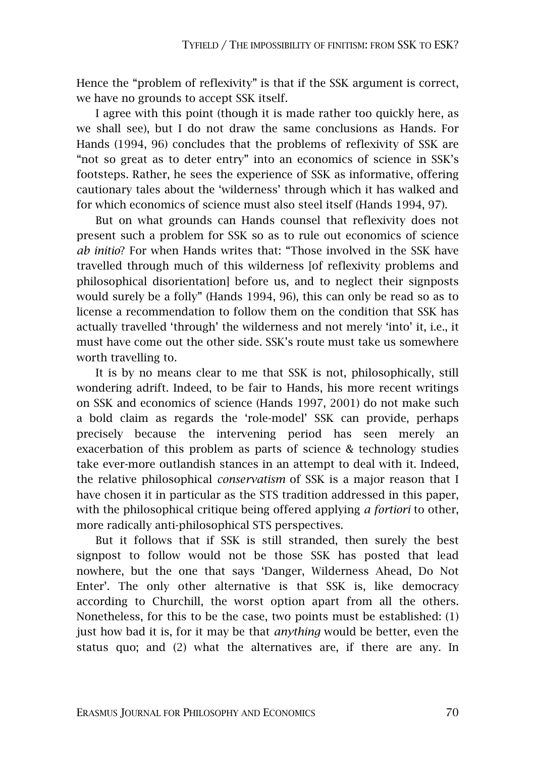Hence the "problem of reflexivity" is that if the SSK argument is correct, we have no grounds to accept SSK itself.

I agree with this point (though it is made rather too quickly here, as we shall see), but I do not draw the same conclusions as Hands. For Hands (1994, 96) concludes that the problems of reflexivity of SSK are "not so great as to deter entry" into an economics of science in SSK's footsteps. Rather, he sees the experience of SSK as informative, offering cautionary tales about the 'wilderness' through which it has walked and for which economics of science must also steel itself (Hands 1994, 97).

But on what grounds can Hands counsel that reflexivity does not present such a problem for SSK so as to rule out economics of science *ab initio*? For when Hands writes that: "Those involved in the SSK have travelled through much of this wilderness [of reflexivity problems and philosophical disorientation] before us, and to neglect their signposts would surely be a folly" (Hands 1994, 96), this can only be read so as to license a recommendation to follow them on the condition that SSK has actually travelled 'through' the wilderness and not merely 'into' it, i.e., it must have come out the other side. SSK's route must take us somewhere worth travelling to.

It is by no means clear to me that SSK is not, philosophically, still wondering adrift. Indeed, to be fair to Hands, his more recent writings on SSK and economics of science (Hands 1997, 2001) do not make such a bold claim as regards the 'role-model' SSK can provide, perhaps precisely because the intervening period has seen merely an exacerbation of this problem as parts of science & technology studies take ever-more outlandish stances in an attempt to deal with it. Indeed, the relative philosophical *conservatism* of SSK is a major reason that I have chosen it in particular as the STS tradition addressed in this paper, with the philosophical critique being offered applying *a fortiori* to other, more radically anti-philosophical STS perspectives.

But it follows that if SSK is still stranded, then surely the best signpost to follow would not be those SSK has posted that lead nowhere, but the one that says 'Danger, Wilderness Ahead, Do Not Enter'. The only other alternative is that SSK is, like democracy according to Churchill, the worst option apart from all the others. Nonetheless, for this to be the case, two points must be established: (1) just how bad it is, for it may be that *anything* would be better, even the status quo; and (2) what the alternatives are, if there are any. In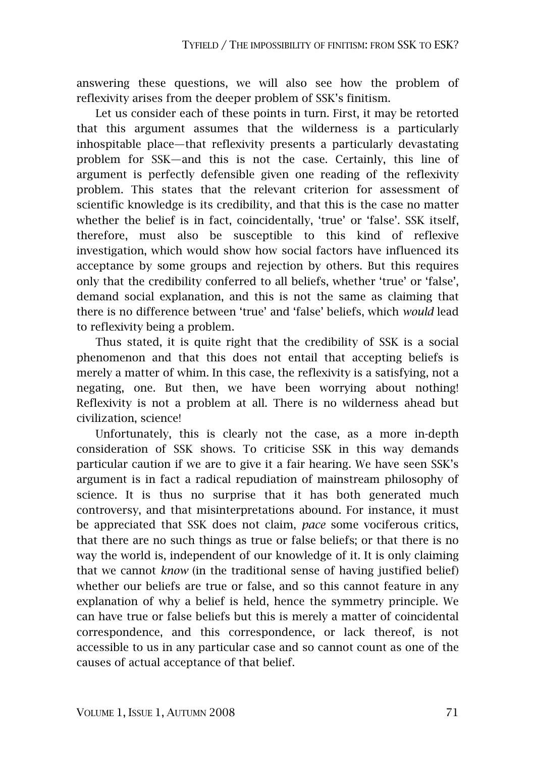answering these questions, we will also see how the problem of reflexivity arises from the deeper problem of SSK's finitism.

Let us consider each of these points in turn. First, it may be retorted that this argument assumes that the wilderness is a particularly inhospitable place—that reflexivity presents a particularly devastating problem for SSK—and this is not the case. Certainly, this line of argument is perfectly defensible given one reading of the reflexivity problem. This states that the relevant criterion for assessment of scientific knowledge is its credibility, and that this is the case no matter whether the belief is in fact, coincidentally, 'true' or 'false'. SSK itself, therefore, must also be susceptible to this kind of reflexive investigation, which would show how social factors have influenced its acceptance by some groups and rejection by others. But this requires only that the credibility conferred to all beliefs, whether 'true' or 'false', demand social explanation, and this is not the same as claiming that there is no difference between 'true' and 'false' beliefs, which *would* lead to reflexivity being a problem.

Thus stated, it is quite right that the credibility of SSK is a social phenomenon and that this does not entail that accepting beliefs is merely a matter of whim. In this case, the reflexivity is a satisfying, not a negating, one. But then, we have been worrying about nothing! Reflexivity is not a problem at all. There is no wilderness ahead but civilization, science!

Unfortunately, this is clearly not the case, as a more in-depth consideration of SSK shows. To criticise SSK in this way demands particular caution if we are to give it a fair hearing. We have seen SSK's argument is in fact a radical repudiation of mainstream philosophy of science. It is thus no surprise that it has both generated much controversy, and that misinterpretations abound. For instance, it must be appreciated that SSK does not claim, *pace* some vociferous critics, that there are no such things as true or false beliefs; or that there is no way the world is, independent of our knowledge of it. It is only claiming that we cannot *know* (in the traditional sense of having justified belief) whether our beliefs are true or false, and so this cannot feature in any explanation of why a belief is held, hence the symmetry principle. We can have true or false beliefs but this is merely a matter of coincidental correspondence, and this correspondence, or lack thereof, is not accessible to us in any particular case and so cannot count as one of the causes of actual acceptance of that belief.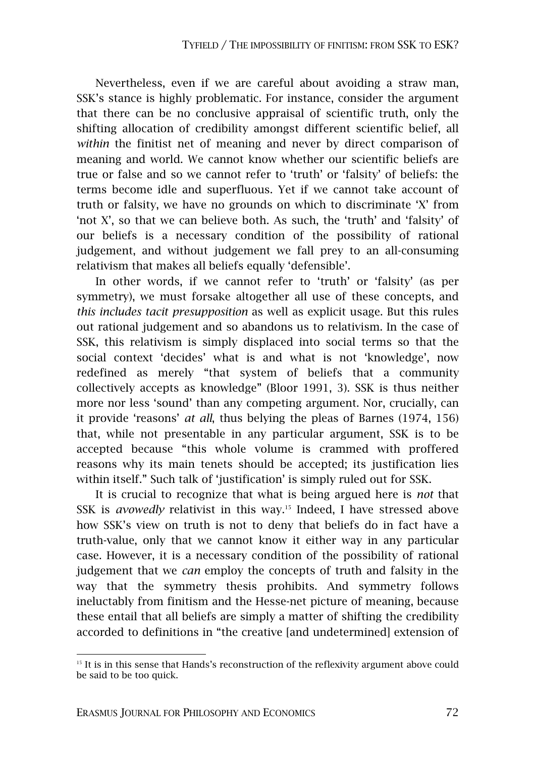Nevertheless, even if we are careful about avoiding a straw man, SSK's stance is highly problematic. For instance, consider the argument that there can be no conclusive appraisal of scientific truth, only the shifting allocation of credibility amongst different scientific belief, all *within* the finitist net of meaning and never by direct comparison of meaning and world. We cannot know whether our scientific beliefs are true or false and so we cannot refer to 'truth' or 'falsity' of beliefs: the terms become idle and superfluous. Yet if we cannot take account of truth or falsity, we have no grounds on which to discriminate 'X' from 'not X', so that we can believe both. As such, the 'truth' and 'falsity' of our beliefs is a necessary condition of the possibility of rational judgement, and without judgement we fall prey to an all-consuming relativism that makes all beliefs equally 'defensible'.

In other words, if we cannot refer to 'truth' or 'falsity' (as per symmetry), we must forsake altogether all use of these concepts, and *this includes tacit presupposition* as well as explicit usage. But this rules out rational judgement and so abandons us to relativism. In the case of SSK, this relativism is simply displaced into social terms so that the social context 'decides' what is and what is not 'knowledge', now redefined as merely "that system of beliefs that a community collectively accepts as knowledge" (Bloor 1991, 3). SSK is thus neither more nor less 'sound' than any competing argument. Nor, crucially, can it provide 'reasons' *at all*, thus belying the pleas of Barnes (1974, 156) that, while not presentable in any particular argument, SSK is to be accepted because "this whole volume is crammed with proffered reasons why its main tenets should be accepted; its justification lies within itself." Such talk of 'justification' is simply ruled out for SSK.

It is crucial to recognize that what is being argued here is *not* that SSK is *avowedly* relativist in this way.<sup>15</sup> Indeed, I have stressed above how SSK's view on truth is not to deny that beliefs do in fact have a truth-value, only that we cannot know it either way in any particular case. However, it is a necessary condition of the possibility of rational judgement that we *can* employ the concepts of truth and falsity in the way that the symmetry thesis prohibits. And symmetry follows ineluctably from finitism and the Hesse-net picture of meaning, because these entail that all beliefs are simply a matter of shifting the credibility accorded to definitions in "the creative [and undetermined] extension of

 $\overline{a}$  $15$  It is in this sense that Hands's reconstruction of the reflexivity argument above could be said to be too quick.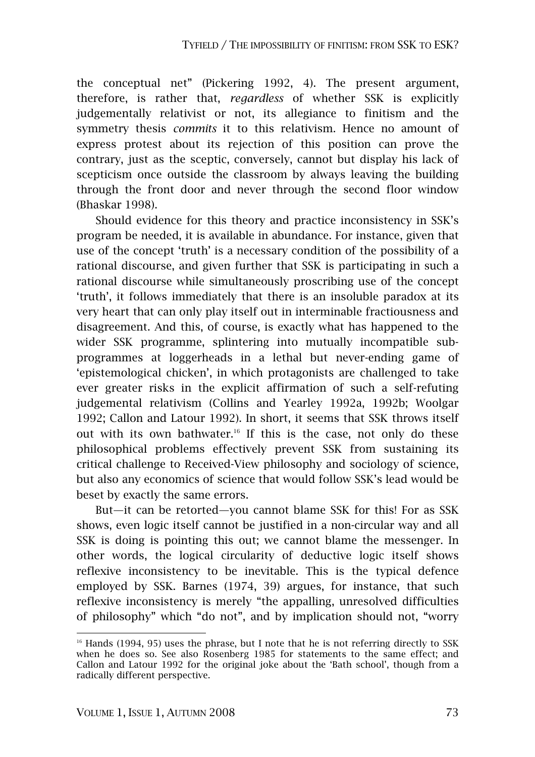the conceptual net" (Pickering 1992, 4). The present argument, therefore, is rather that, *regardless* of whether SSK is explicitly judgementally relativist or not, its allegiance to finitism and the symmetry thesis *commits* it to this relativism. Hence no amount of express protest about its rejection of this position can prove the contrary, just as the sceptic, conversely, cannot but display his lack of scepticism once outside the classroom by always leaving the building through the front door and never through the second floor window (Bhaskar 1998).

Should evidence for this theory and practice inconsistency in SSK's program be needed, it is available in abundance. For instance, given that use of the concept 'truth' is a necessary condition of the possibility of a rational discourse, and given further that SSK is participating in such a rational discourse while simultaneously proscribing use of the concept 'truth', it follows immediately that there is an insoluble paradox at its very heart that can only play itself out in interminable fractiousness and disagreement. And this, of course, is exactly what has happened to the wider SSK programme, splintering into mutually incompatible subprogrammes at loggerheads in a lethal but never-ending game of 'epistemological chicken', in which protagonists are challenged to take ever greater risks in the explicit affirmation of such a self-refuting judgemental relativism (Collins and Yearley 1992a, 1992b; Woolgar 1992; Callon and Latour 1992). In short, it seems that SSK throws itself out with its own bathwater.<sup>16</sup> If this is the case, not only do these philosophical problems effectively prevent SSK from sustaining its critical challenge to Received-View philosophy and sociology of science, but also any economics of science that would follow SSK's lead would be beset by exactly the same errors.

But—it can be retorted—you cannot blame SSK for this! For as SSK shows, even logic itself cannot be justified in a non-circular way and all SSK is doing is pointing this out; we cannot blame the messenger. In other words, the logical circularity of deductive logic itself shows reflexive inconsistency to be inevitable. This is the typical defence employed by SSK. Barnes (1974, 39) argues, for instance, that such reflexive inconsistency is merely "the appalling, unresolved difficulties of philosophy" which "do not", and by implication should not, "worry

 $16$  Hands (1994, 95) uses the phrase, but I note that he is not referring directly to SSK when he does so. See also Rosenberg 1985 for statements to the same effect; and Callon and Latour 1992 for the original joke about the 'Bath school', though from a radically different perspective.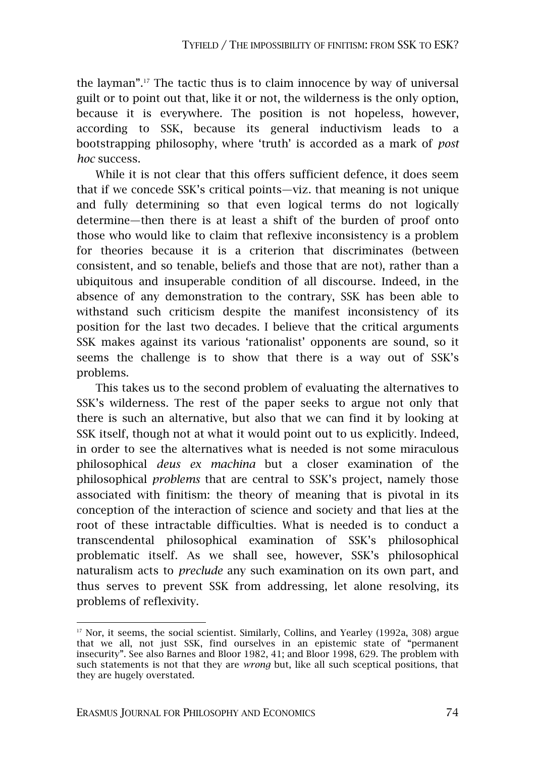the layman".17 The tactic thus is to claim innocence by way of universal guilt or to point out that, like it or not, the wilderness is the only option, because it is everywhere. The position is not hopeless, however, according to SSK, because its general inductivism leads to a bootstrapping philosophy, where 'truth' is accorded as a mark of *post hoc* success.

While it is not clear that this offers sufficient defence, it does seem that if we concede SSK's critical points—viz. that meaning is not unique and fully determining so that even logical terms do not logically determine—then there is at least a shift of the burden of proof onto those who would like to claim that reflexive inconsistency is a problem for theories because it is a criterion that discriminates (between consistent, and so tenable, beliefs and those that are not), rather than a ubiquitous and insuperable condition of all discourse. Indeed, in the absence of any demonstration to the contrary, SSK has been able to withstand such criticism despite the manifest inconsistency of its position for the last two decades. I believe that the critical arguments SSK makes against its various 'rationalist' opponents are sound, so it seems the challenge is to show that there is a way out of SSK's problems.

This takes us to the second problem of evaluating the alternatives to SSK's wilderness. The rest of the paper seeks to argue not only that there is such an alternative, but also that we can find it by looking at SSK itself, though not at what it would point out to us explicitly. Indeed, in order to see the alternatives what is needed is not some miraculous philosophical *deus ex machina* but a closer examination of the philosophical *problems* that are central to SSK's project, namely those associated with finitism: the theory of meaning that is pivotal in its conception of the interaction of science and society and that lies at the root of these intractable difficulties. What is needed is to conduct a transcendental philosophical examination of SSK's philosophical problematic itself. As we shall see, however, SSK's philosophical naturalism acts to *preclude* any such examination on its own part, and thus serves to prevent SSK from addressing, let alone resolving, its problems of reflexivity.

<sup>&</sup>lt;sup>17</sup> Nor, it seems, the social scientist. Similarly, Collins, and Yearley (1992a, 308) argue that we all, not just SSK, find ourselves in an epistemic state of "permanent insecurity". See also Barnes and Bloor 1982, 41; and Bloor 1998, 629. The problem with such statements is not that they are *wrong* but, like all such sceptical positions, that they are hugely overstated.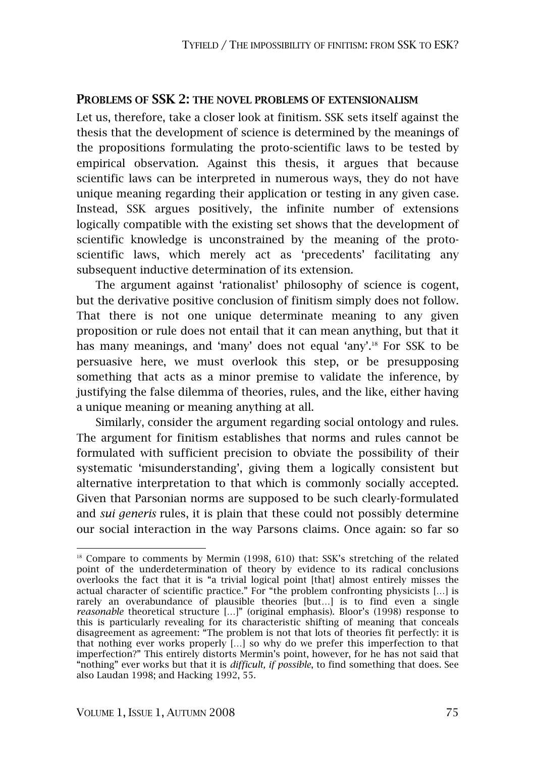### **PROBLEMS OF SSK 2: THE NOVEL PROBLEMS OF EXTENSIONALISM**

Let us, therefore, take a closer look at finitism. SSK sets itself against the thesis that the development of science is determined by the meanings of the propositions formulating the proto-scientific laws to be tested by empirical observation. Against this thesis, it argues that because scientific laws can be interpreted in numerous ways, they do not have unique meaning regarding their application or testing in any given case. Instead, SSK argues positively, the infinite number of extensions logically compatible with the existing set shows that the development of scientific knowledge is unconstrained by the meaning of the protoscientific laws, which merely act as 'precedents' facilitating any subsequent inductive determination of its extension.

The argument against 'rationalist' philosophy of science is cogent, but the derivative positive conclusion of finitism simply does not follow. That there is not one unique determinate meaning to any given proposition or rule does not entail that it can mean anything, but that it has many meanings, and 'many' does not equal 'any'.<sup>18</sup> For SSK to be persuasive here, we must overlook this step, or be presupposing something that acts as a minor premise to validate the inference, by justifying the false dilemma of theories, rules, and the like, either having a unique meaning or meaning anything at all.

Similarly, consider the argument regarding social ontology and rules. The argument for finitism establishes that norms and rules cannot be formulated with sufficient precision to obviate the possibility of their systematic 'misunderstanding', giving them a logically consistent but alternative interpretation to that which is commonly socially accepted. Given that Parsonian norms are supposed to be such clearly-formulated and *sui generis* rules, it is plain that these could not possibly determine our social interaction in the way Parsons claims. Once again: so far so

 $\overline{a}$  $18$  Compare to comments by Mermin (1998, 610) that: SSK's stretching of the related point of the underdetermination of theory by evidence to its radical conclusions overlooks the fact that it is "a trivial logical point [that] almost entirely misses the actual character of scientific practice." For "the problem confronting physicists […] is rarely an overabundance of plausible theories [but…] is to find even a single *reasonable* theoretical structure […]" (original emphasis). Bloor's (1998) response to this is particularly revealing for its characteristic shifting of meaning that conceals disagreement as agreement: "The problem is not that lots of theories fit perfectly: it is that nothing ever works properly […] so why do we prefer this imperfection to that imperfection?" This entirely distorts Mermin's point, however, for he has not said that "nothing" ever works but that it is *difficult, if possible*, to find something that does. See also Laudan 1998; and Hacking 1992, 55.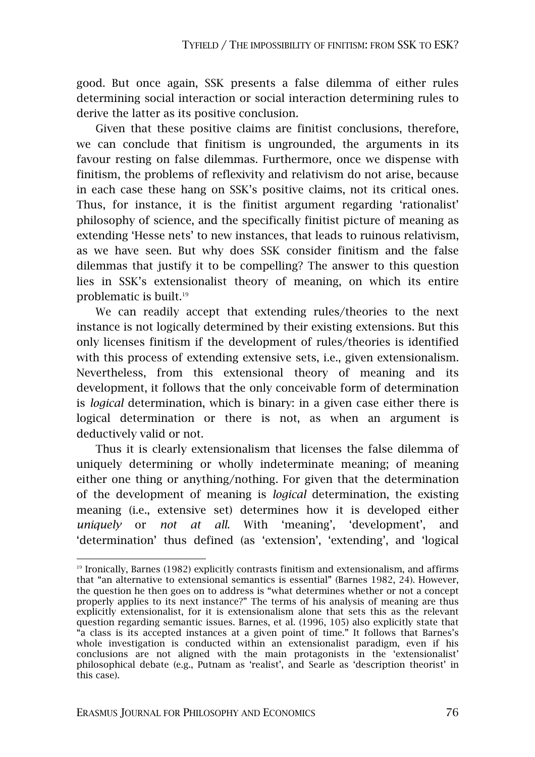good. But once again, SSK presents a false dilemma of either rules determining social interaction or social interaction determining rules to derive the latter as its positive conclusion.

Given that these positive claims are finitist conclusions, therefore, we can conclude that finitism is ungrounded, the arguments in its favour resting on false dilemmas. Furthermore, once we dispense with finitism, the problems of reflexivity and relativism do not arise, because in each case these hang on SSK's positive claims, not its critical ones. Thus, for instance, it is the finitist argument regarding 'rationalist' philosophy of science, and the specifically finitist picture of meaning as extending 'Hesse nets' to new instances, that leads to ruinous relativism, as we have seen. But why does SSK consider finitism and the false dilemmas that justify it to be compelling? The answer to this question lies in SSK's extensionalist theory of meaning, on which its entire problematic is built.<sup>19</sup>

We can readily accept that extending rules/theories to the next instance is not logically determined by their existing extensions. But this only licenses finitism if the development of rules/theories is identified with this process of extending extensive sets, i.e., given extensionalism. Nevertheless, from this extensional theory of meaning and its development, it follows that the only conceivable form of determination is *logical* determination, which is binary: in a given case either there is logical determination or there is not, as when an argument is deductively valid or not.

Thus it is clearly extensionalism that licenses the false dilemma of uniquely determining or wholly indeterminate meaning; of meaning either one thing or anything/nothing. For given that the determination of the development of meaning is *logical* determination, the existing meaning (i.e., extensive set) determines how it is developed either *uniquely* or *not at all*. With 'meaning', 'development', and 'determination' thus defined (as 'extension', 'extending', and 'logical

 $\overline{a}$ <sup>19</sup> Ironically, Barnes (1982) explicitly contrasts finitism and extensionalism, and affirms that "an alternative to extensional semantics is essential" (Barnes 1982, 24). However, the question he then goes on to address is "what determines whether or not a concept properly applies to its next instance?" The terms of his analysis of meaning are thus explicitly extensionalist, for it is extensionalism alone that sets this as the relevant question regarding semantic issues. Barnes, et al. (1996, 105) also explicitly state that "a class is its accepted instances at a given point of time." It follows that Barnes's whole investigation is conducted within an extensionalist paradigm, even if his conclusions are not aligned with the main protagonists in the 'extensionalist' philosophical debate (e.g., Putnam as 'realist', and Searle as 'description theorist' in this case).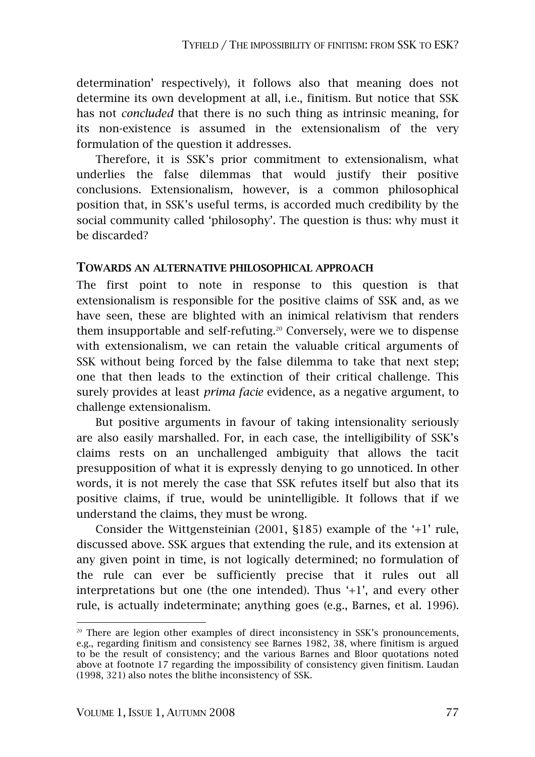determination' respectively), it follows also that meaning does not determine its own development at all, i.e., finitism. But notice that SSK has not *concluded* that there is no such thing as intrinsic meaning, for its non-existence is assumed in the extensionalism of the very formulation of the question it addresses.

Therefore, it is SSK's prior commitment to extensionalism, what underlies the false dilemmas that would justify their positive conclusions. Extensionalism, however, is a common philosophical position that, in SSK's useful terms, is accorded much credibility by the social community called 'philosophy'. The question is thus: why must it be discarded?

### **TOWARDS AN ALTERNATIVE PHILOSOPHICAL APPROACH**

The first point to note in response to this question is that extensionalism is responsible for the positive claims of SSK and, as we have seen, these are blighted with an inimical relativism that renders them insupportable and self-refuting.<sup>20</sup> Conversely, were we to dispense with extensionalism, we can retain the valuable critical arguments of SSK without being forced by the false dilemma to take that next step; one that then leads to the extinction of their critical challenge. This surely provides at least *prima facie* evidence, as a negative argument, to challenge extensionalism.

But positive arguments in favour of taking intensionality seriously are also easily marshalled. For, in each case, the intelligibility of SSK's claims rests on an unchallenged ambiguity that allows the tacit presupposition of what it is expressly denying to go unnoticed. In other words, it is not merely the case that SSK refutes itself but also that its positive claims, if true, would be unintelligible. It follows that if we understand the claims, they must be wrong.

Consider the Wittgensteinian (2001, §185) example of the '+1' rule, discussed above. SSK argues that extending the rule, and its extension at any given point in time, is not logically determined; no formulation of the rule can ever be sufficiently precise that it rules out all interpretations but one (the one intended). Thus '+1', and every other rule, is actually indeterminate; anything goes (e.g., Barnes, et al. 1996).

 $20$  There are legion other examples of direct inconsistency in SSK's pronouncements, e.g., regarding finitism and consistency see Barnes 1982, 38, where finitism is argued to be the result of consistency; and the various Barnes and Bloor quotations noted above at footnote 17 regarding the impossibility of consistency given finitism. Laudan (1998, 321) also notes the blithe inconsistency of SSK.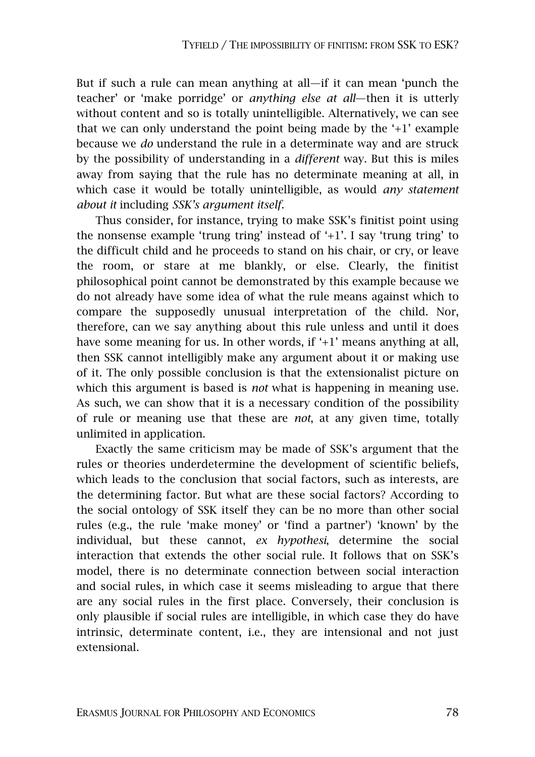But if such a rule can mean anything at all—if it can mean 'punch the teacher' or 'make porridge' or *anything else at all*—then it is utterly without content and so is totally unintelligible. Alternatively, we can see that we can only understand the point being made by the '+1' example because we *do* understand the rule in a determinate way and are struck by the possibility of understanding in a *different* way. But this is miles away from saying that the rule has no determinate meaning at all, in which case it would be totally unintelligible, as would *any statement about it* including *SSK's argument itself*.

Thus consider, for instance, trying to make SSK's finitist point using the nonsense example 'trung tring' instead of '+1'. I say 'trung tring' to the difficult child and he proceeds to stand on his chair, or cry, or leave the room, or stare at me blankly, or else. Clearly, the finitist philosophical point cannot be demonstrated by this example because we do not already have some idea of what the rule means against which to compare the supposedly unusual interpretation of the child. Nor, therefore, can we say anything about this rule unless and until it does have some meaning for us. In other words, if '+1' means anything at all, then SSK cannot intelligibly make any argument about it or making use of it. The only possible conclusion is that the extensionalist picture on which this argument is based is *not* what is happening in meaning use. As such, we can show that it is a necessary condition of the possibility of rule or meaning use that these are *not*, at any given time, totally unlimited in application.

Exactly the same criticism may be made of SSK's argument that the rules or theories underdetermine the development of scientific beliefs, which leads to the conclusion that social factors, such as interests, are the determining factor. But what are these social factors? According to the social ontology of SSK itself they can be no more than other social rules (e.g., the rule 'make money' or 'find a partner') 'known' by the individual, but these cannot, *ex hypothesi*, determine the social interaction that extends the other social rule. It follows that on SSK's model, there is no determinate connection between social interaction and social rules, in which case it seems misleading to argue that there are any social rules in the first place. Conversely, their conclusion is only plausible if social rules are intelligible, in which case they do have intrinsic, determinate content, i.e., they are intensional and not just extensional.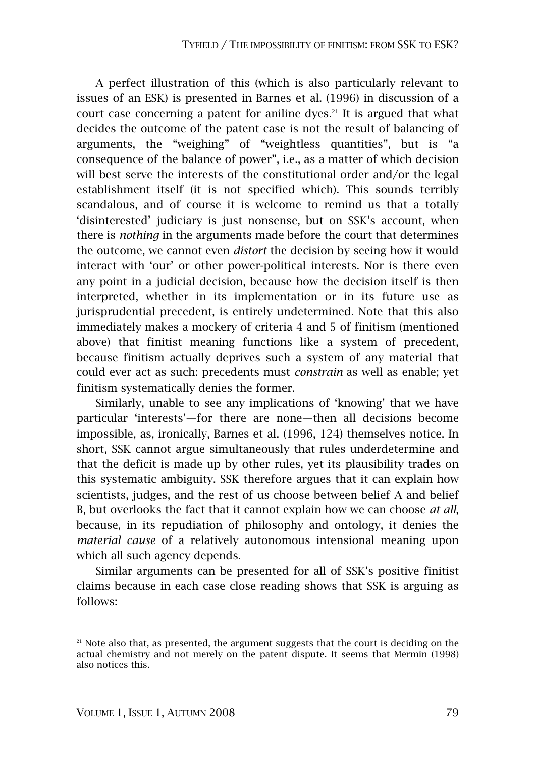A perfect illustration of this (which is also particularly relevant to issues of an ESK) is presented in Barnes et al. (1996) in discussion of a court case concerning a patent for aniline dyes.<sup>21</sup> It is argued that what decides the outcome of the patent case is not the result of balancing of arguments, the "weighing" of "weightless quantities", but is "a consequence of the balance of power", i.e., as a matter of which decision will best serve the interests of the constitutional order and/or the legal establishment itself (it is not specified which). This sounds terribly scandalous, and of course it is welcome to remind us that a totally 'disinterested' judiciary is just nonsense, but on SSK's account, when there is *nothing* in the arguments made before the court that determines the outcome, we cannot even *distort* the decision by seeing how it would interact with 'our' or other power-political interests. Nor is there even any point in a judicial decision, because how the decision itself is then interpreted, whether in its implementation or in its future use as jurisprudential precedent, is entirely undetermined. Note that this also immediately makes a mockery of criteria 4 and 5 of finitism (mentioned above) that finitist meaning functions like a system of precedent, because finitism actually deprives such a system of any material that could ever act as such: precedents must *constrain* as well as enable; yet finitism systematically denies the former.

Similarly, unable to see any implications of 'knowing' that we have particular 'interests'—for there are none—then all decisions become impossible, as, ironically, Barnes et al. (1996, 124) themselves notice. In short, SSK cannot argue simultaneously that rules underdetermine and that the deficit is made up by other rules, yet its plausibility trades on this systematic ambiguity. SSK therefore argues that it can explain how scientists, judges, and the rest of us choose between belief A and belief B, but overlooks the fact that it cannot explain how we can choose *at all*, because, in its repudiation of philosophy and ontology, it denies the *material cause* of a relatively autonomous intensional meaning upon which all such agency depends.

Similar arguments can be presented for all of SSK's positive finitist claims because in each case close reading shows that SSK is arguing as follows:

 $21$  Note also that, as presented, the argument suggests that the court is deciding on the actual chemistry and not merely on the patent dispute. It seems that Mermin (1998) also notices this.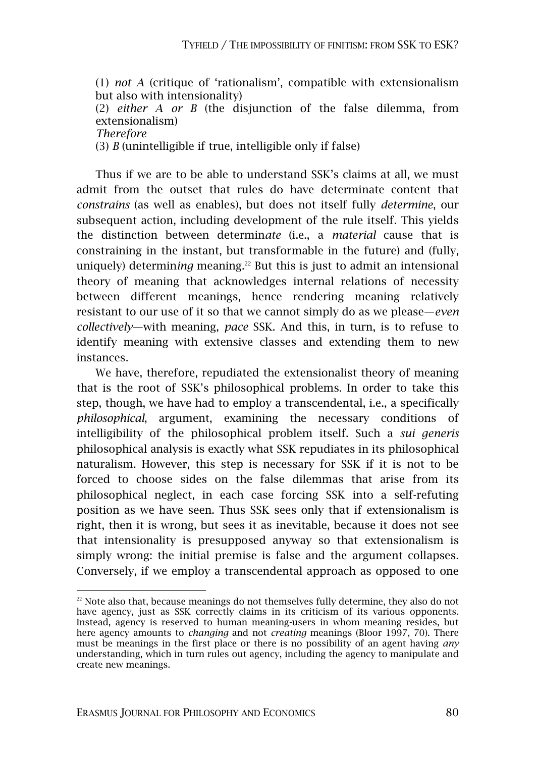(1) *not A* (critique of 'rationalism', compatible with extensionalism but also with intensionality) (2) *either A or B* (the disjunction of the false dilemma, from extensionalism) *Therefore*  (3) *B* (unintelligible if true, intelligible only if false)

Thus if we are to be able to understand SSK's claims at all, we must admit from the outset that rules do have determinate content that *constrains* (as well as enables), but does not itself fully *determine*, our subsequent action, including development of the rule itself. This yields the distinction between determin*ate* (i.e., a *material* cause that is constraining in the instant, but transformable in the future) and (fully, uniquely) determining meaning.<sup>22</sup> But this is just to admit an intensional theory of meaning that acknowledges internal relations of necessity between different meanings, hence rendering meaning relatively resistant to our use of it so that we cannot simply do as we please—*even collectively*—with meaning, *pace* SSK. And this, in turn, is to refuse to identify meaning with extensive classes and extending them to new instances.

We have, therefore, repudiated the extensionalist theory of meaning that is the root of SSK's philosophical problems. In order to take this step, though, we have had to employ a transcendental, i.e., a specifically *philosophical*, argument, examining the necessary conditions of intelligibility of the philosophical problem itself. Such a *sui generis*  philosophical analysis is exactly what SSK repudiates in its philosophical naturalism. However, this step is necessary for SSK if it is not to be forced to choose sides on the false dilemmas that arise from its philosophical neglect, in each case forcing SSK into a self-refuting position as we have seen. Thus SSK sees only that if extensionalism is right, then it is wrong, but sees it as inevitable, because it does not see that intensionality is presupposed anyway so that extensionalism is simply wrong: the initial premise is false and the argument collapses. Conversely, if we employ a transcendental approach as opposed to one

 $\overline{a}$ <sup>22</sup> Note also that, because meanings do not themselves fully determine, they also do not have agency, just as SSK correctly claims in its criticism of its various opponents. Instead, agency is reserved to human meaning-users in whom meaning resides, but here agency amounts to *changing* and not *creating* meanings (Bloor 1997, 70). There must be meanings in the first place or there is no possibility of an agent having *any* understanding, which in turn rules out agency, including the agency to manipulate and create new meanings.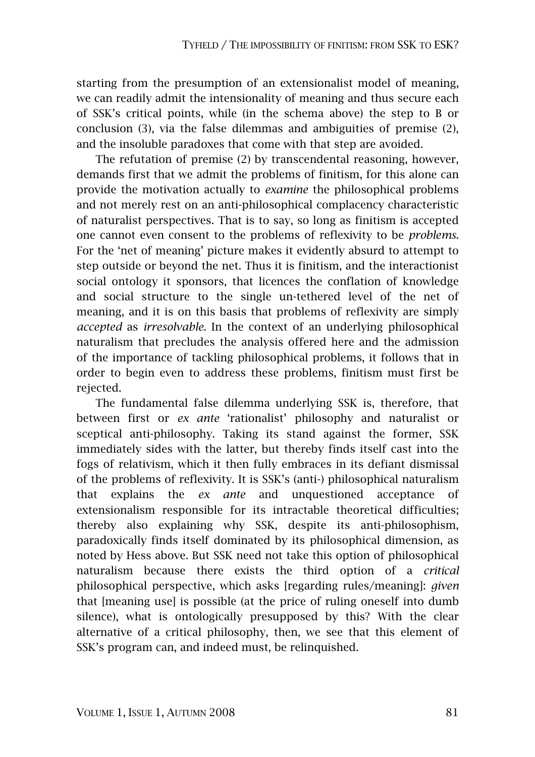starting from the presumption of an extensionalist model of meaning, we can readily admit the intensionality of meaning and thus secure each of SSK's critical points, while (in the schema above) the step to B or conclusion (3), via the false dilemmas and ambiguities of premise (2), and the insoluble paradoxes that come with that step are avoided.

The refutation of premise (2) by transcendental reasoning, however, demands first that we admit the problems of finitism, for this alone can provide the motivation actually to *examine* the philosophical problems and not merely rest on an anti-philosophical complacency characteristic of naturalist perspectives. That is to say, so long as finitism is accepted one cannot even consent to the problems of reflexivity to be *problems*. For the 'net of meaning' picture makes it evidently absurd to attempt to step outside or beyond the net. Thus it is finitism, and the interactionist social ontology it sponsors, that licences the conflation of knowledge and social structure to the single un-tethered level of the net of meaning, and it is on this basis that problems of reflexivity are simply *accepted* as *irresolvable*. In the context of an underlying philosophical naturalism that precludes the analysis offered here and the admission of the importance of tackling philosophical problems, it follows that in order to begin even to address these problems, finitism must first be rejected.

The fundamental false dilemma underlying SSK is, therefore, that between first or *ex ante* 'rationalist' philosophy and naturalist or sceptical anti-philosophy. Taking its stand against the former, SSK immediately sides with the latter, but thereby finds itself cast into the fogs of relativism, which it then fully embraces in its defiant dismissal of the problems of reflexivity. It is SSK's (anti-) philosophical naturalism that explains the *ex ante* and unquestioned acceptance of extensionalism responsible for its intractable theoretical difficulties; thereby also explaining why SSK, despite its anti-philosophism, paradoxically finds itself dominated by its philosophical dimension, as noted by Hess above. But SSK need not take this option of philosophical naturalism because there exists the third option of a *critical*  philosophical perspective, which asks [regarding rules/meaning]: *given* that [meaning use] is possible (at the price of ruling oneself into dumb silence), what is ontologically presupposed by this? With the clear alternative of a critical philosophy, then, we see that this element of SSK's program can, and indeed must, be relinquished.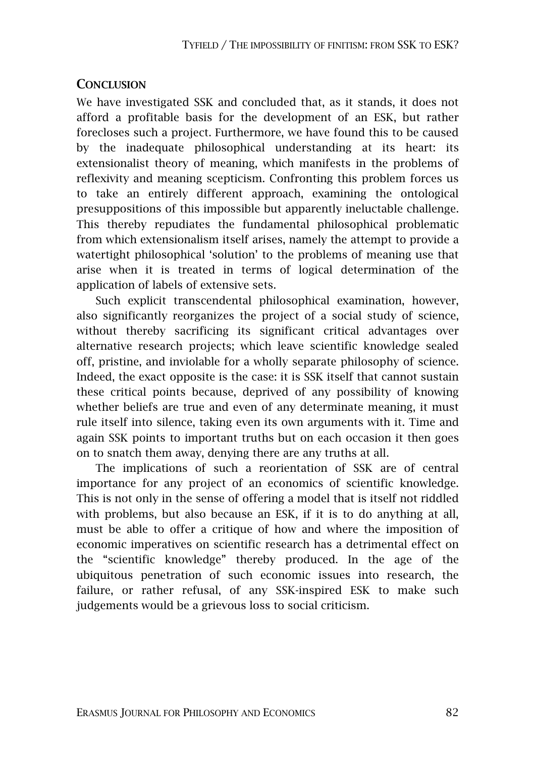### **CONCLUSION**

We have investigated SSK and concluded that, as it stands, it does not afford a profitable basis for the development of an ESK, but rather forecloses such a project. Furthermore, we have found this to be caused by the inadequate philosophical understanding at its heart: its extensionalist theory of meaning, which manifests in the problems of reflexivity and meaning scepticism. Confronting this problem forces us to take an entirely different approach, examining the ontological presuppositions of this impossible but apparently ineluctable challenge. This thereby repudiates the fundamental philosophical problematic from which extensionalism itself arises, namely the attempt to provide a watertight philosophical 'solution' to the problems of meaning use that arise when it is treated in terms of logical determination of the application of labels of extensive sets.

Such explicit transcendental philosophical examination, however, also significantly reorganizes the project of a social study of science, without thereby sacrificing its significant critical advantages over alternative research projects; which leave scientific knowledge sealed off, pristine, and inviolable for a wholly separate philosophy of science. Indeed, the exact opposite is the case: it is SSK itself that cannot sustain these critical points because, deprived of any possibility of knowing whether beliefs are true and even of any determinate meaning, it must rule itself into silence, taking even its own arguments with it. Time and again SSK points to important truths but on each occasion it then goes on to snatch them away, denying there are any truths at all.

The implications of such a reorientation of SSK are of central importance for any project of an economics of scientific knowledge. This is not only in the sense of offering a model that is itself not riddled with problems, but also because an ESK, if it is to do anything at all, must be able to offer a critique of how and where the imposition of economic imperatives on scientific research has a detrimental effect on the "scientific knowledge" thereby produced. In the age of the ubiquitous penetration of such economic issues into research, the failure, or rather refusal, of any SSK-inspired ESK to make such judgements would be a grievous loss to social criticism.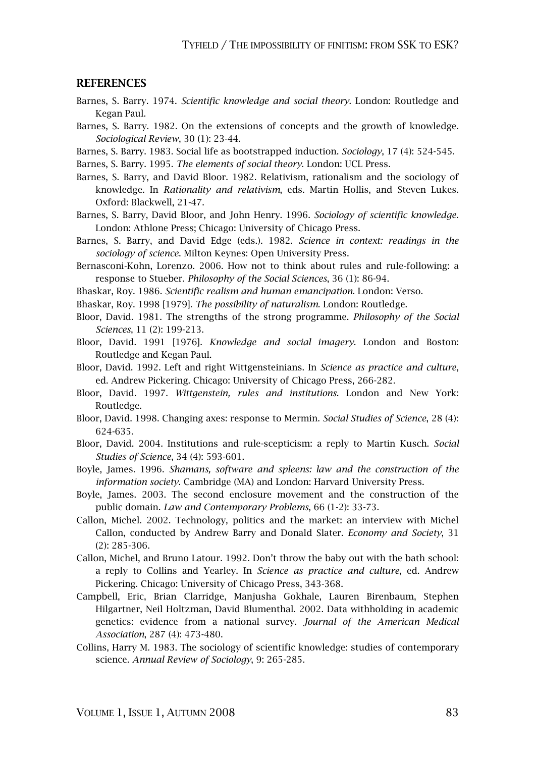#### **REFERENCES**

- Barnes, S. Barry. 1974. *Scientific knowledge and social theory.* London: Routledge and Kegan Paul.
- Barnes, S. Barry. 1982. On the extensions of concepts and the growth of knowledge. *Sociological Review*, 30 (1): 23-44.
- Barnes, S. Barry. 1983. Social life as bootstrapped induction. *Sociology*, 17 (4): 524-545.

Barnes, S. Barry. 1995. *The elements of social theory*. London: UCL Press.

- Barnes, S. Barry, and David Bloor. 1982. Relativism, rationalism and the sociology of knowledge. In *Rationality and relativism*, eds. Martin Hollis, and Steven Lukes. Oxford: Blackwell, 21-47.
- Barnes, S. Barry, David Bloor, and John Henry. 1996. *Sociology of scientific knowledge*. London: Athlone Press; Chicago: University of Chicago Press.
- Barnes, S. Barry, and David Edge (eds.). 1982. *Science in context: readings in the sociology of science*. Milton Keynes: Open University Press.
- Bernasconi-Kohn, Lorenzo. 2006. How not to think about rules and rule-following: a response to Stueber. *Philosophy of the Social Sciences*, 36 (1): 86-94.
- Bhaskar, Roy. 1986. *Scientific realism and human emancipation*. London: Verso.
- Bhaskar, Roy. 1998 [1979]. *The possibility of naturalism*. London: Routledge.
- Bloor, David. 1981. The strengths of the strong programme. *Philosophy of the Social Sciences*, 11 (2): 199-213.
- Bloor, David. 1991 [1976]. *Knowledge and social imagery*. London and Boston: Routledge and Kegan Paul.
- Bloor, David. 1992. Left and right Wittgensteinians. In *Science as practice and culture*, ed. Andrew Pickering. Chicago: University of Chicago Press, 266-282.
- Bloor, David. 1997. *Wittgenstein, rules and institutions*. London and New York: Routledge.
- Bloor, David. 1998. Changing axes: response to Mermin. *Social Studies of Science*, 28 (4): 624-635.
- Bloor, David. 2004. Institutions and rule-scepticism: a reply to Martin Kusch. *Social Studies of Science*, 34 (4): 593-601.
- Boyle, James. 1996. *Shamans, software and spleens: law and the construction of the information society*. Cambridge (MA) and London: Harvard University Press.
- Boyle, James. 2003. The second enclosure movement and the construction of the public domain. *Law and Contemporary Problems*, 66 (1-2): 33-73.
- Callon, Michel. 2002. Technology, politics and the market: an interview with Michel Callon, conducted by Andrew Barry and Donald Slater. *Economy and Society*, 31 (2): 285-306.
- Callon, Michel, and Bruno Latour. 1992. Don't throw the baby out with the bath school: a reply to Collins and Yearley. In *Science as practice and culture*, ed. Andrew Pickering. Chicago: University of Chicago Press, 343-368.
- Campbell, Eric, Brian Clarridge, Manjusha Gokhale, Lauren Birenbaum, Stephen Hilgartner, Neil Holtzman, David Blumenthal. 2002. Data withholding in academic genetics: evidence from a national survey. *Journal of the American Medical Association*, 287 (4): 473-480.
- Collins, Harry M. 1983. The sociology of scientific knowledge: studies of contemporary science. *Annual Review of Sociology*, 9: 265-285.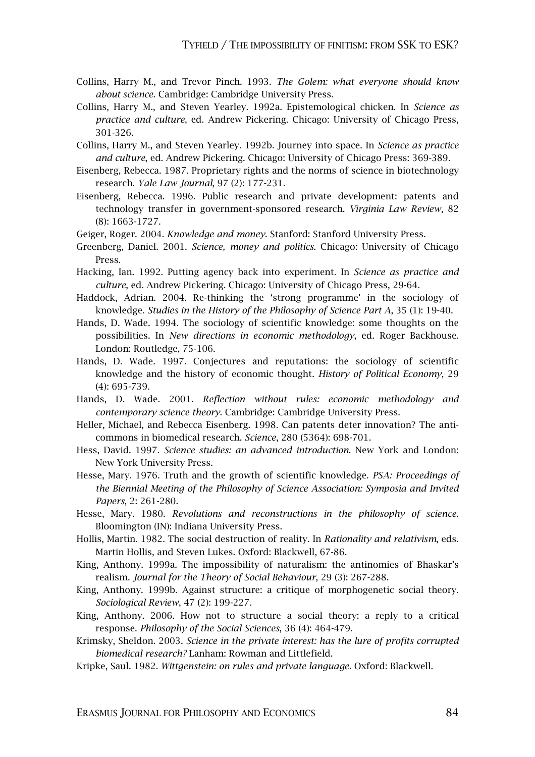- Collins, Harry M., and Trevor Pinch. 1993. *The Golem: what everyone should know about science*. Cambridge: Cambridge University Press.
- Collins, Harry M., and Steven Yearley. 1992a. Epistemological chicken. In *Science as practice and culture*, ed. Andrew Pickering. Chicago: University of Chicago Press, 301-326.
- Collins, Harry M., and Steven Yearley. 1992b. Journey into space. In *Science as practice and culture*, ed. Andrew Pickering. Chicago: University of Chicago Press: 369-389.
- Eisenberg, Rebecca. 1987. Proprietary rights and the norms of science in biotechnology research. *Yale Law Journal*, 97 (2): 177-231.
- Eisenberg, Rebecca. 1996. Public research and private development: patents and technology transfer in government-sponsored research. *Virginia Law Review*, 82 (8): 1663-1727.
- Geiger, Roger. 2004. *Knowledge and money*. Stanford: Stanford University Press.
- Greenberg, Daniel. 2001. *Science, money and politics*. Chicago: University of Chicago Press.
- Hacking, Ian. 1992. Putting agency back into experiment. In *Science as practice and culture*, ed. Andrew Pickering. Chicago: University of Chicago Press, 29-64.
- Haddock, Adrian. 2004. Re-thinking the 'strong programme' in the sociology of knowledge. *Studies in the History of the Philosophy of Science Part A*, 35 (1): 19-40.
- Hands, D. Wade. 1994. The sociology of scientific knowledge: some thoughts on the possibilities. In *New directions in economic methodology*, ed. Roger Backhouse. London: Routledge, 75-106.
- Hands, D. Wade. 1997. Conjectures and reputations: the sociology of scientific knowledge and the history of economic thought. *History of Political Economy*, 29 (4): 695-739.
- Hands, D. Wade. 2001. *Reflection without rules: economic methodology and contemporary science theory*. Cambridge: Cambridge University Press.
- Heller, Michael, and Rebecca Eisenberg. 1998. Can patents deter innovation? The anticommons in biomedical research. *Science*, 280 (5364): 698-701.
- Hess, David. 1997. *Science studies: an advanced introduction*. New York and London: New York University Press.
- Hesse, Mary. 1976. Truth and the growth of scientific knowledge. *PSA: Proceedings of the Biennial Meeting of the Philosophy of Science Association: Symposia and Invited Papers*, 2: 261-280.
- Hesse, Mary. 1980. *Revolutions and reconstructions in the philosophy of science*. Bloomington (IN): Indiana University Press.
- Hollis, Martin. 1982. The social destruction of reality. In *Rationality and relativism*, eds. Martin Hollis, and Steven Lukes. Oxford: Blackwell, 67-86.
- King, Anthony. 1999a. The impossibility of naturalism: the antinomies of Bhaskar's realism. *Journal for the Theory of Social Behaviour*, 29 (3): 267-288.
- King, Anthony. 1999b. Against structure: a critique of morphogenetic social theory. *Sociological Review*, 47 (2): 199-227.
- King, Anthony. 2006. How not to structure a social theory: a reply to a critical response. *Philosophy of the Social Sciences*, 36 (4): 464-479.
- Krimsky, Sheldon. 2003. *Science in the private interest: has the lure of profits corrupted biomedical research?* Lanham: Rowman and Littlefield.
- Kripke, Saul. 1982. *Wittgenstein: on rules and private language*. Oxford: Blackwell.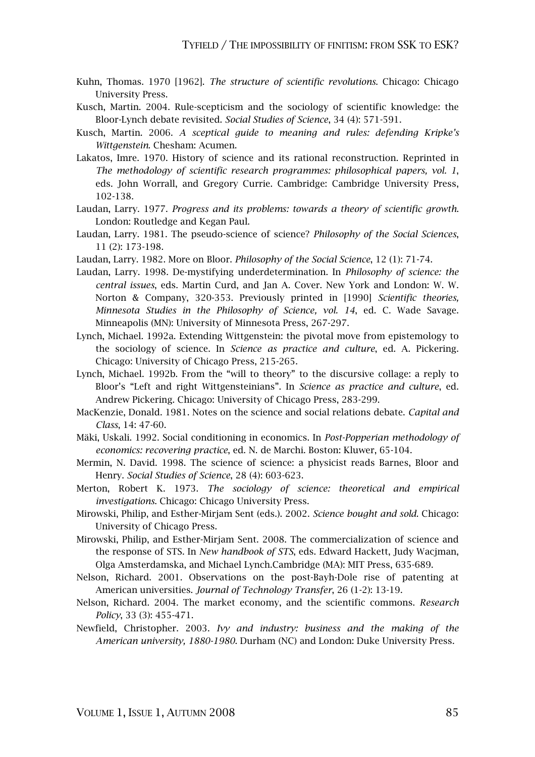- Kuhn, Thomas. 1970 [1962]. *The structure of scientific revolutions*. Chicago: Chicago University Press.
- Kusch, Martin. 2004. Rule-scepticism and the sociology of scientific knowledge: the Bloor-Lynch debate revisited. *Social Studies of Science*, 34 (4): 571-591.
- Kusch, Martin. 2006. *A sceptical guide to meaning and rules: defending Kripke's Wittgenstein*. Chesham: Acumen.
- Lakatos, Imre. 1970. History of science and its rational reconstruction. Reprinted in *The methodology of scientific research programmes: philosophical papers, vol. 1*, eds. John Worrall, and Gregory Currie. Cambridge: Cambridge University Press, 102-138.
- Laudan, Larry. 1977. *Progress and its problems: towards a theory of scientific growth*. London: Routledge and Kegan Paul.
- Laudan, Larry. 1981. The pseudo-science of science? *Philosophy of the Social Sciences*, 11 (2): 173-198.
- Laudan, Larry. 1982. More on Bloor. *Philosophy of the Social Science*, 12 (1): 71-74.
- Laudan, Larry. 1998. De-mystifying underdetermination. In *Philosophy of science: the central issues*, eds. Martin Curd, and Jan A. Cover. New York and London: W. W. Norton & Company, 320-353. Previously printed in [1990] *Scientific theories, Minnesota Studies in the Philosophy of Science, vol. 14*, ed. C. Wade Savage. Minneapolis (MN): University of Minnesota Press, 267-297.
- Lynch, Michael. 1992a. Extending Wittgenstein: the pivotal move from epistemology to the sociology of science. In *Science as practice and culture*, ed. A. Pickering. Chicago: University of Chicago Press, 215-265.
- Lynch, Michael. 1992b. From the "will to theory" to the discursive collage: a reply to Bloor's "Left and right Wittgensteinians". In *Science as practice and culture*, ed. Andrew Pickering. Chicago: University of Chicago Press, 283-299.
- MacKenzie, Donald. 1981. Notes on the science and social relations debate. *Capital and Class*, 14: 47-60.
- Mäki, Uskali. 1992. Social conditioning in economics. In *Post-Popperian methodology of economics: recovering practice*, ed. N. de Marchi. Boston: Kluwer, 65-104.
- Mermin, N. David. 1998. The science of science: a physicist reads Barnes, Bloor and Henry. *Social Studies of Science*, 28 (4): 603-623.
- Merton, Robert K. 1973. *The sociology of science: theoretical and empirical investigations*. Chicago: Chicago University Press.
- Mirowski, Philip, and Esther-Mirjam Sent (eds.). 2002. *Science bought and sold*. Chicago: University of Chicago Press.
- Mirowski, Philip, and Esther-Mirjam Sent. 2008. The commercialization of science and the response of STS. In *New handbook of STS*, eds. Edward Hackett, Judy Wacjman, Olga Amsterdamska, and Michael Lynch.Cambridge (MA): MIT Press, 635-689.
- Nelson, Richard. 2001. Observations on the post-Bayh-Dole rise of patenting at American universities. *Journal of Technology Transfer*, 26 (1-2): 13-19.
- Nelson, Richard. 2004. The market economy, and the scientific commons. *Research Policy*, 33 (3): 455-471.
- Newfield, Christopher. 2003. *Ivy and industry: business and the making of the American university, 1880-1980*. Durham (NC) and London: Duke University Press.